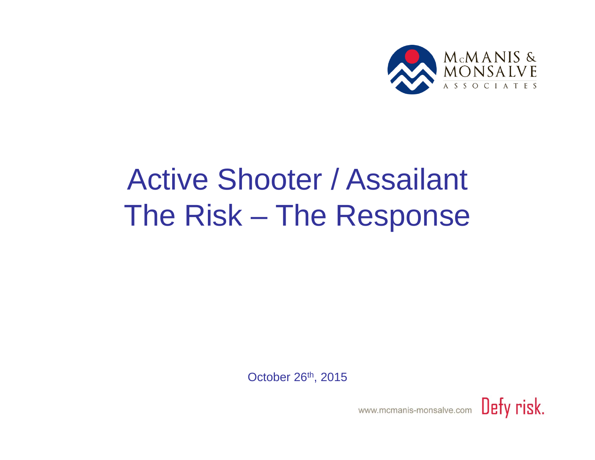

## Active Shooter / Assailant The Risk – The Response

October 26th, 2015

.<br>۲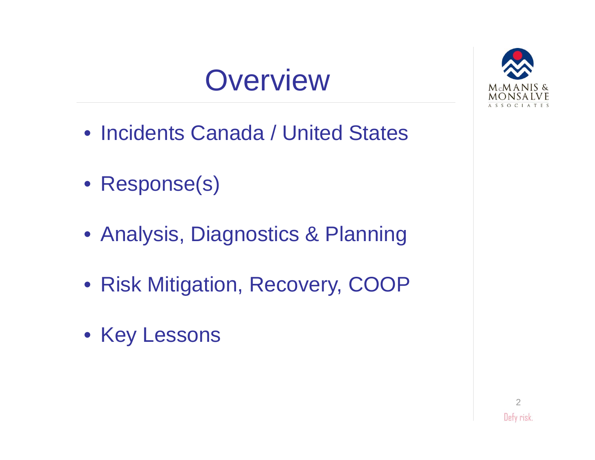



- Incidents Canada / United States
- Response(s)
- Analysis, Diagnostics & Planning
- Risk Mitigation, Recovery, COOP
- Key Lessons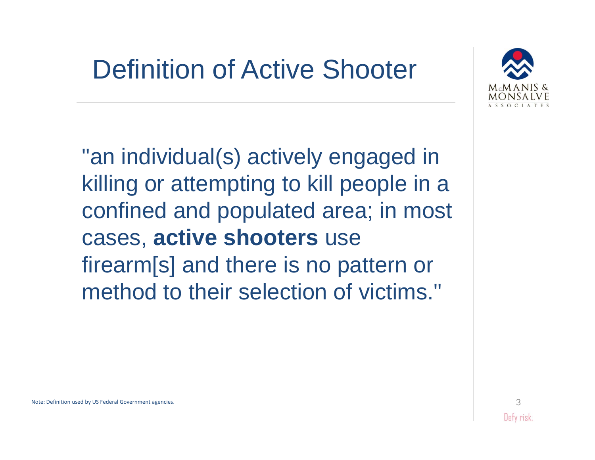### Definition of Active Shooter



"an individual(s) actively engaged in killing or attempting to kill people in a con fined and populated area; in most cases, **active shooters** use firearm[s] and there is no pattern or method to their selection of victims."

Note: Definition used by US Federal Government agencies.

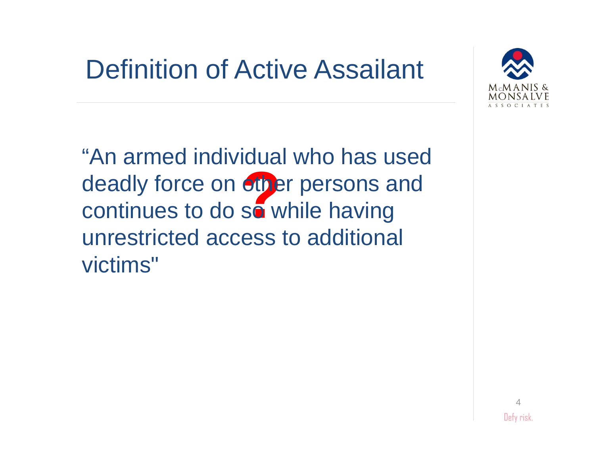### Definition of Active Assailant



deadly force on other persons and<br>continues to do so while having continues to do so while having "An armed individual who has used unrestricted access to additional victims"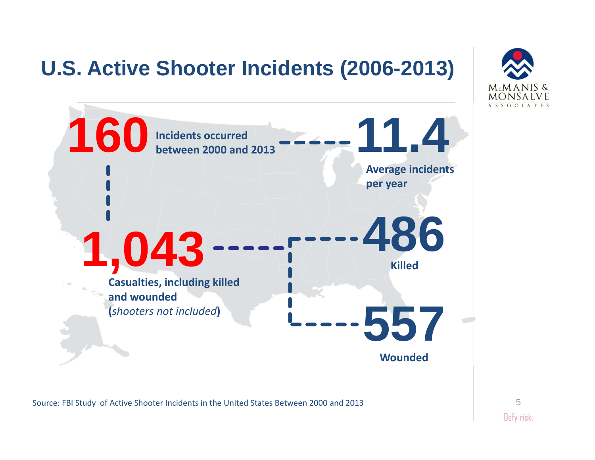#### **U.S. Active Shooter Incidents (2006-2013)**





Source: FBI Study of Active Shooter Incidents in the United States Between 2000 and 2013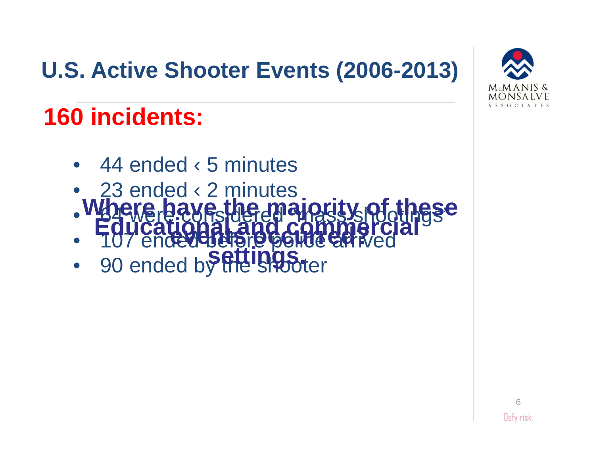#### **U.S. Active Shooter Events (2006-2013)**



#### **160 incidents:**

- $\bullet$ 44 ended ‹ 5 minutes
- • 23 ended ‹ 2 minutes **Where have the majority of these**
- $\bullet$ **64 were corsidered "mass shootings" events our turning Educational and commercial**
- •107 endedeterate polite errived **settings.**
- $\bullet$ 90 ended by the shooter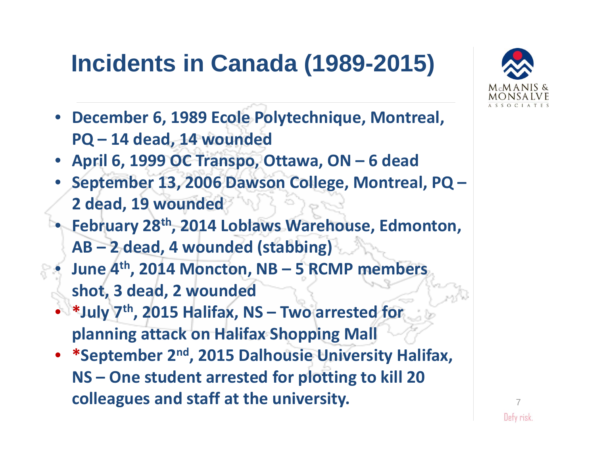#### **Incidents in Canada (1989-2015)**



- **April 6, 1999 OC Transpo, Ottawa, ON – 6 dead**
- **September 13, 2006 Dawson College, Montreal, PQ – 2 dead, 19 wounded**
- • **February 28th , 2014 Loblaws Warehouse, Edmonton, AB – 2 dead, 4 wounded (stabbing)**
- • **June 4th , 2014 Moncton, NB – 5 RCMP members shot, 3 dead, 2 wounded**
- •**\*July 7th , 2015 Halifax, NS – Two arrested for planning attack on Halifax Shopping Mall**
- •**\*September 2n<sup>d</sup> , 2015 Dalhousie University Halifax, NS – One student arrested for plotting to kill 20 colleagues and staff at the university.**

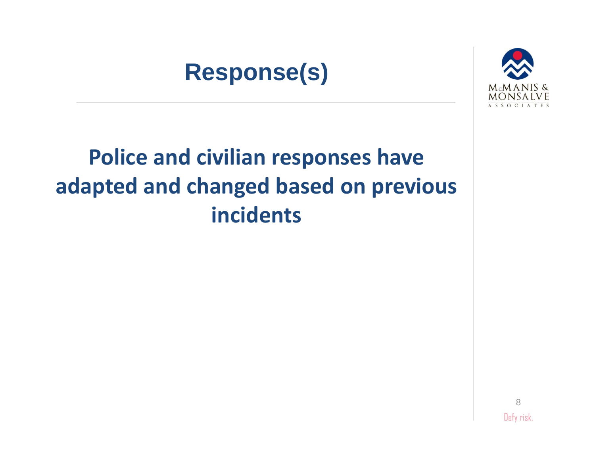#### **Response(s)**



#### **Police and civilian responses have adapted and changed based on previous incidents**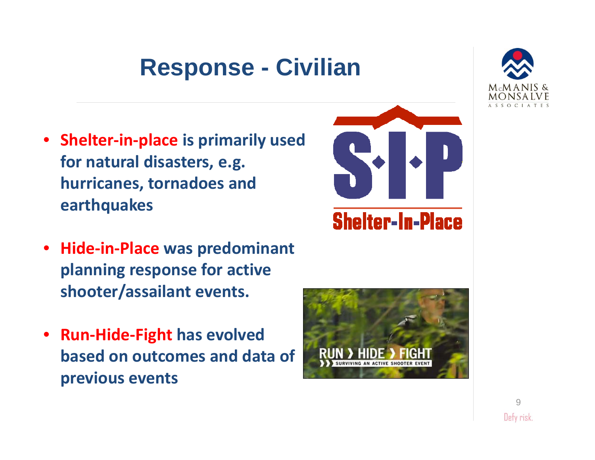#### **Response - Civilian**

- **Shelter‐in‐place is primarily used for natural disasters, e.g. hurricanes, tornadoes and earthquakes**
- **Hide‐in‐Place was predominant planning response for active shooter/assailant events.**
- **Run‐Hide‐Fight has evolved based on outcomes and data of previous events**





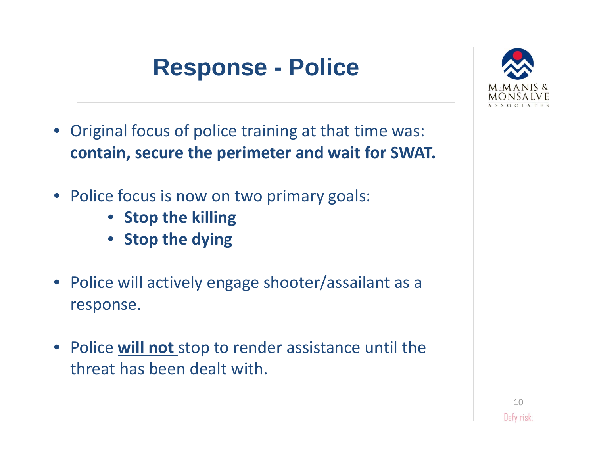#### **Response - Police**

- Original focus of police training at that time was: **contain, secure the perimeter and wait for SWAT.**
- Police focus is now on two primary goals:
	- **Stop the killing**
	- **Stop the dying**
- Police will actively engage shooter/assailant as <sup>a</sup> response.
- Police **will not** stop to render assistance until the threat has been dealt with.

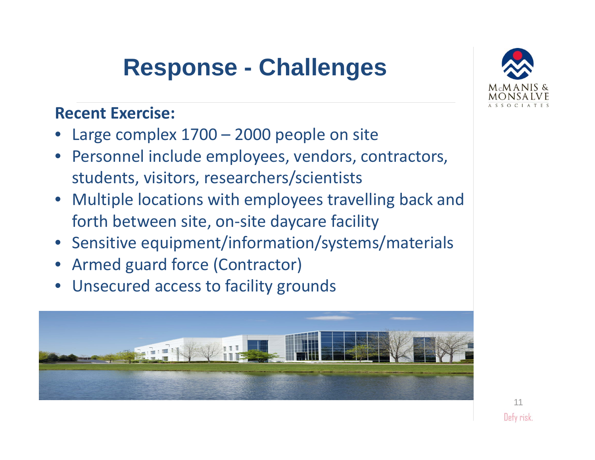#### **Response - Challenges**

#### **Recent Exercise:**

- Large complex 1700 2000 people on site
- Personnel include employees, vendors, contractors, students, visitors, researchers/scientists
- Multiple locations with employees travelling back and forth between site, on ‐site daycare facility
- Sensitive equipment/information/systems/materials
- Armed guard force (Contractor)
- Unsecured access to facility grounds



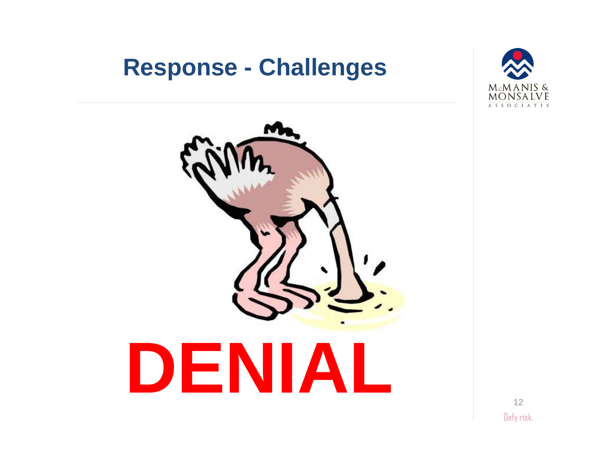#### **Response - Challenges**



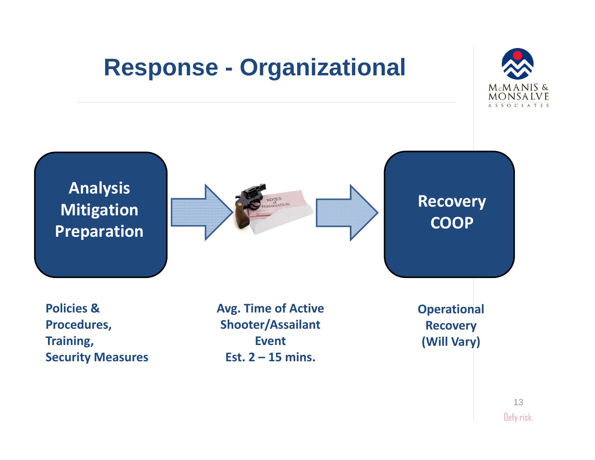#### **Response - Organizational**





13Defy risk.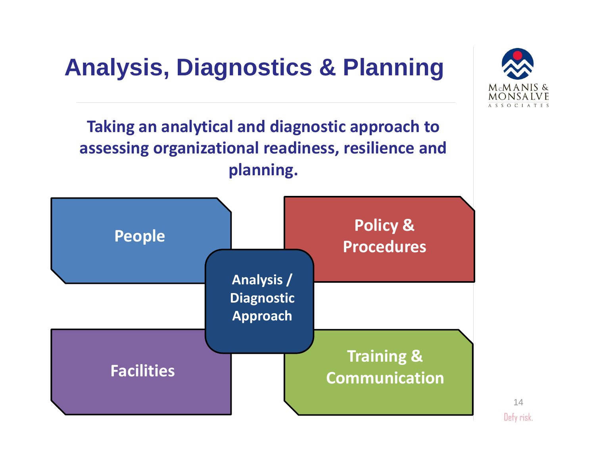#### **Analysis, Diagnostics & Planning**



**Taking an analytical and diagnostic approach to assessing organizational readiness, resilience and planning.**



14Defy risk.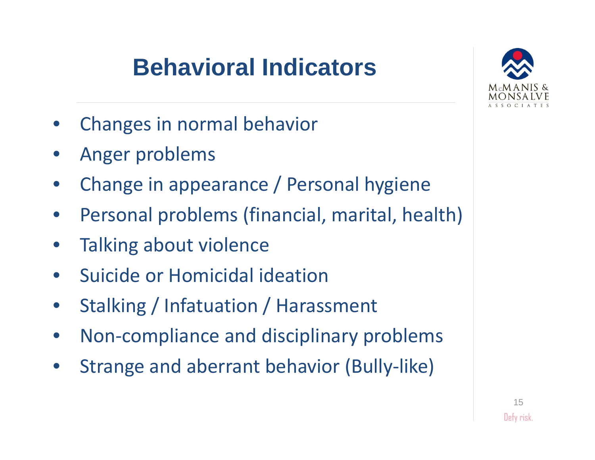#### **Behavioral Indicators**



- $\bullet$ Changes in normal behavior
- •Anger problems
- $\bullet$ Change in appearance / Personal hygiene
- •Personal problems (financial, marital, health)
- $\bullet$ Talking about violence
- $\bullet$ **•** Suicide or Homicidal ideation
- $\bullet$ • Stalking / Infatuation / Harassment
- $\bullet$ • Non-compliance and disciplinary problems
- •• Strange and aberrant behavior (Bully-like)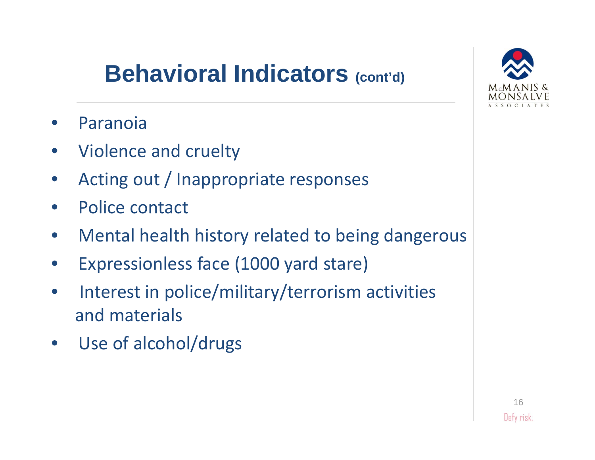#### **Behavioral Indicators (cont'd)**

- •Paranoia
- $\bullet$ Violence and cruelty
- •Acting out / Inappropriate responses
- •• Police contact
- •Mental health history related to being dangerous
- •Expressionless face (1000 yard stare)
- $\bullet$ • Interest in police/military/terrorism activities and materials
- $\bullet$ Use of alcohol/drugs

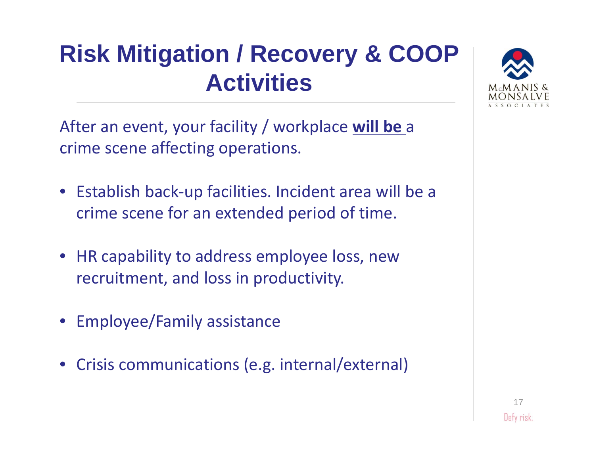#### **Risk Mitigation / Recovery & COOP Activities**

After an event, your facility / workplace **will be** a crime scene affecting operations.

- Establish back ‐up facilities. Incident area will be a crime scene for an extended period of time.
- HR capability to address employee loss, new recruitment, and loss in productivity.
- Employee/Family assistance
- •Crisis communications (e.g. internal/external)

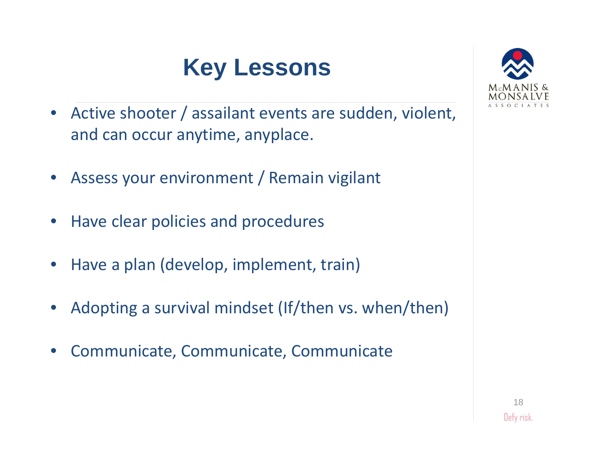#### **Key Lessons**

- $\bullet$  Active shooter / assailant events are sudden, violent, and can occur anytime, anyplace.
- $\bullet$ Assess your environment / Remain vigilant
- $\bullet$ **•** Have clear policies and procedures
- $\bullet$ • Have a plan (develop, implement, train)
- $\bullet$ Adopting <sup>a</sup> survival mindset (If/then vs. when/then)
- •Communicate, Communicate, Communicate

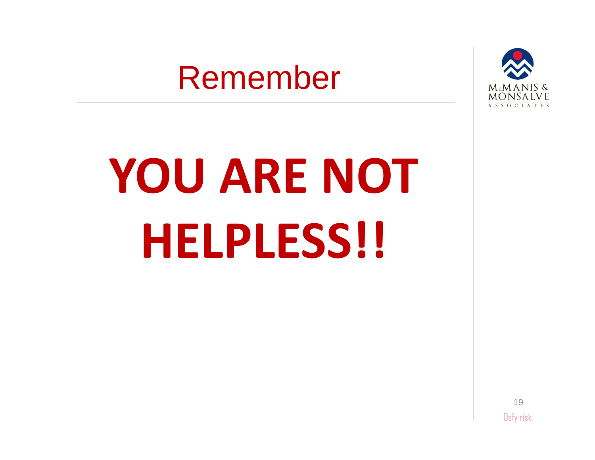# Remember



# **YOU ARE NOT HELPLESS!!**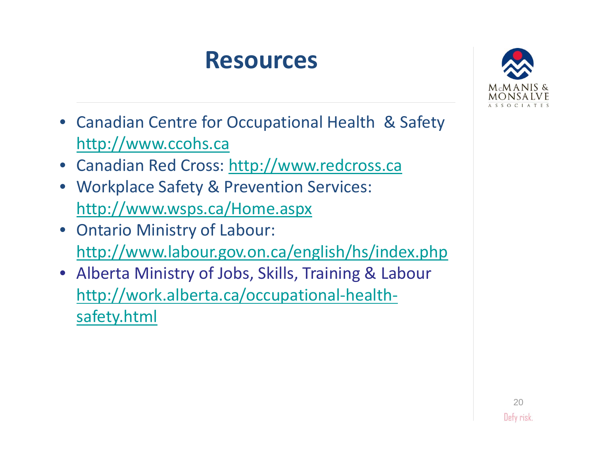#### **Resources**



- Canadian Centre for Occupational Health & Safety http://www.ccohs.ca
- Canadian Red Cross: http://www.redcross.ca
- Workplace Safety & Prevention Services: http://www.wsps.ca/Home.aspx
- Ontario Ministry of Labour: http://www.labour.gov.on.ca/english/hs/index.php
- Alberta Ministry of Jobs, Skills, Training & Labour http://work.alberta.ca/occupational‐health‐ safety.html